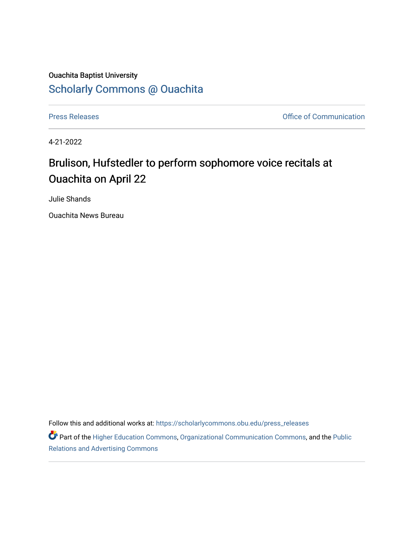## Ouachita Baptist University [Scholarly Commons @ Ouachita](https://scholarlycommons.obu.edu/)

[Press Releases](https://scholarlycommons.obu.edu/press_releases) **Press Releases Communication** 

4-21-2022

## Brulison, Hufstedler to perform sophomore voice recitals at Ouachita on April 22

Julie Shands

Ouachita News Bureau

Follow this and additional works at: [https://scholarlycommons.obu.edu/press\\_releases](https://scholarlycommons.obu.edu/press_releases?utm_source=scholarlycommons.obu.edu%2Fpress_releases%2F1085&utm_medium=PDF&utm_campaign=PDFCoverPages)

Part of the [Higher Education Commons,](http://network.bepress.com/hgg/discipline/1245?utm_source=scholarlycommons.obu.edu%2Fpress_releases%2F1085&utm_medium=PDF&utm_campaign=PDFCoverPages) [Organizational Communication Commons,](http://network.bepress.com/hgg/discipline/335?utm_source=scholarlycommons.obu.edu%2Fpress_releases%2F1085&utm_medium=PDF&utm_campaign=PDFCoverPages) and the [Public](http://network.bepress.com/hgg/discipline/336?utm_source=scholarlycommons.obu.edu%2Fpress_releases%2F1085&utm_medium=PDF&utm_campaign=PDFCoverPages) [Relations and Advertising Commons](http://network.bepress.com/hgg/discipline/336?utm_source=scholarlycommons.obu.edu%2Fpress_releases%2F1085&utm_medium=PDF&utm_campaign=PDFCoverPages)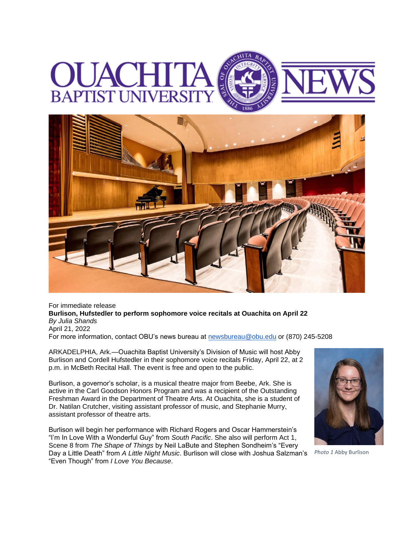## **BAPTIST UNIVERS**



For immediate release **Burlison, Hufstedler to perform sophomore voice recitals at Ouachita on April 22** *By Julia Shands* April 21, 2022 For more information, contact OBU's news bureau at [newsbureau@obu.edu](mailto:newsbureau@obu.edu) or (870) 245-5208

ARKADELPHIA, Ark.—Ouachita Baptist University's Division of Music will host Abby

Burlison and Cordell Hufstedler in their sophomore voice recitals Friday, April 22, at 2 p.m. in McBeth Recital Hall. The event is free and open to the public.

Burlison, a governor's scholar, is a musical theatre major from Beebe, Ark. She is active in the Carl Goodson Honors Program and was a recipient of the Outstanding Freshman Award in the Department of Theatre Arts. At Ouachita, she is a student of Dr. Natilan Crutcher, visiting assistant professor of music, and Stephanie Murry, assistant professor of theatre arts.

Burlison will begin her performance with Richard Rogers and Oscar Hammerstein's "I'm In Love With a Wonderful Guy" from *South Pacific*. She also will perform Act 1, Scene 8 from *The Shape of Things* by Neil LaBute and Stephen Sondheim's "Every Day a Little Death" from *A Little Night Music*. Burlison will close with Joshua Salzman's "Even Though" from *I Love You Because*.



*Photo 1* Abby Burlison